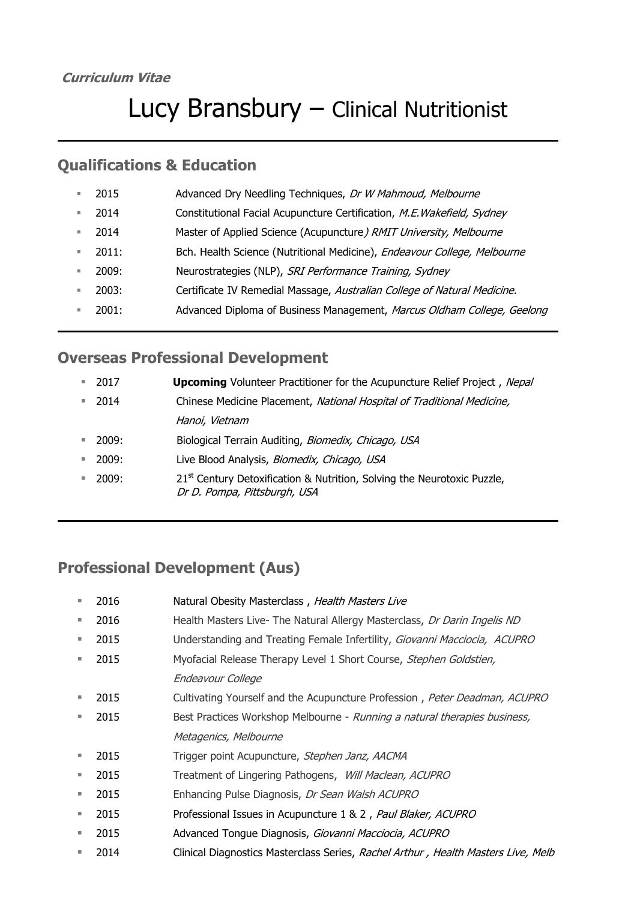#### **Curriculum Vitae**

# Lucy Bransbury – Clinical Nutritionist

### **Qualifications & Education**

| ш  | 2015  | Advanced Dry Needling Techniques, Dr W Mahmoud, Melbourne                |
|----|-------|--------------------------------------------------------------------------|
| ш  | 2014  | Constitutional Facial Acupuncture Certification, M.E. Wakefield, Sydney  |
| ш  | 2014  | Master of Applied Science (Acupuncture) RMIT University, Melbourne       |
| ×. | 2011: | Bch. Health Science (Nutritional Medicine), Endeavour College, Melbourne |
| ш  | 2009: | Neurostrategies (NLP), SRI Performance Training, Sydney                  |
| ш  | 2003: | Certificate IV Remedial Massage, Australian College of Natural Medicine. |
| ш  | 2001: | Advanced Diploma of Business Management, Marcus Oldham College, Geelong  |
|    |       |                                                                          |

### **Overseas Professional Development**

| <b>College</b> | 2017            | <b>Upcoming</b> Volunteer Practitioner for the Acupuncture Relief Project, Nepal                                    |
|----------------|-----------------|---------------------------------------------------------------------------------------------------------------------|
| ш              | 2014            | Chinese Medicine Placement, National Hospital of Traditional Medicine,                                              |
|                |                 | Hanoi, Vietnam                                                                                                      |
|                | $\sqrt{2009}$ : | Biological Terrain Auditing, Biomedix, Chicago, USA                                                                 |
| ш              | 2009:           | Live Blood Analysis, Biomedix, Chicago, USA                                                                         |
|                | 2009:           | 21 <sup>st</sup> Century Detoxification & Nutrition, Solving the Neurotoxic Puzzle,<br>Dr D. Pompa, Pittsburgh, USA |

## **Professional Development (Aus)**

| 2016 | Natural Obesity Masterclass, Health Masters Live                                  |
|------|-----------------------------------------------------------------------------------|
| 2016 | Health Masters Live- The Natural Allergy Masterclass, Dr Darin Ingelis ND         |
| 2015 | Understanding and Treating Female Infertility, Giovanni Macciocia, ACUPRO         |
| 2015 | Myofacial Release Therapy Level 1 Short Course, Stephen Goldstien,                |
|      | Endeavour College                                                                 |
| 2015 | Cultivating Yourself and the Acupuncture Profession, Peter Deadman, ACUPRO        |
| 2015 | Best Practices Workshop Melbourne - Running a natural therapies business,         |
|      | Metagenics, Melbourne                                                             |
| 2015 | Trigger point Acupuncture, Stephen Janz, AACMA                                    |
| 2015 | Treatment of Lingering Pathogens, <i>Will Maclean, ACUPRO</i>                     |
| 2015 | Enhancing Pulse Diagnosis, Dr Sean Walsh ACUPRO                                   |
| 2015 | Professional Issues in Acupuncture 1 & 2, Paul Blaker, ACUPRO                     |
| 2015 | Advanced Tongue Diagnosis, Giovanni Macciocia, ACUPRO                             |
| 2014 | Clinical Diagnostics Masterclass Series, Rachel Arthur, Health Masters Live, Melb |
|      |                                                                                   |